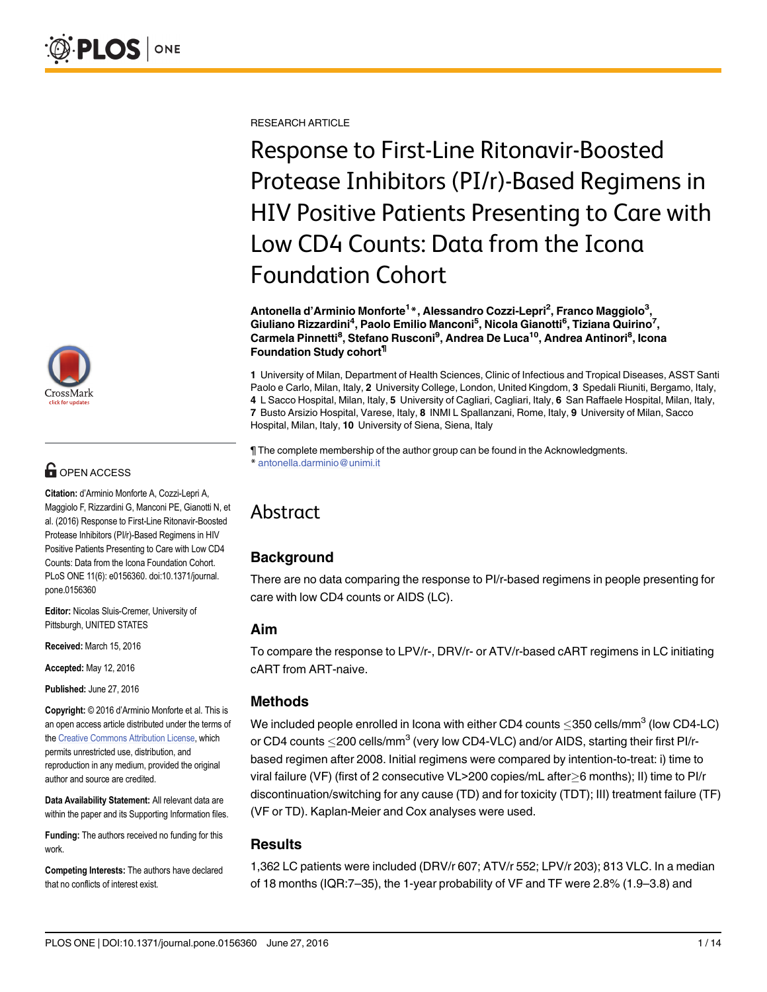

# **OPEN ACCESS**

Citation: d'Arminio Monforte A, Cozzi-Lepri A, Maggiolo F, Rizzardini G, Manconi PE, Gianotti N, et al. (2016) Response to First-Line Ritonavir-Boosted Protease Inhibitors (PI/r)-Based Regimens in HIV Positive Patients Presenting to Care with Low CD4 Counts: Data from the Icona Foundation Cohort. PLoS ONE 11(6): e0156360. doi:10.1371/journal. pone.0156360

Editor: Nicolas Sluis-Cremer, University of Pittsburgh, UNITED STATES

Received: March 15, 2016

Accepted: May 12, 2016

Published: June 27, 2016

Copyright: © 2016 d'Arminio Monforte et al. This is an open access article distributed under the terms of the [Creative Commons Attribution License,](http://creativecommons.org/licenses/by/4.0/) which permits unrestricted use, distribution, and reproduction in any medium, provided the original author and source are credited.

Data Availability Statement: All relevant data are within the paper and its Supporting Information files.

Funding: The authors received no funding for this work.

Competing Interests: The authors have declared that no conflicts of interest exist.

RESEARCH ARTICLE

Response to First-Line Ritonavir-Boosted Protease Inhibitors (PI/r)-Based Regimens in HIV Positive Patients Presenting to Care with Low CD4 Counts: Data from the Icona Foundation Cohort

Antonella d'Arminio Monforte<sup>1</sup>\*, Alessandro Cozzi-Lepri<sup>2</sup>, Franco Maggiolo<sup>3</sup>, Giuliano Rizzardini<sup>4</sup>, Paolo Emilio Manconi<sup>5</sup>, Nicola Gianotti<sup>6</sup>, Tiziana Quirino<sup>7</sup>, Carmela Pinnetti<sup>8</sup>, Stefano Rusconi<sup>9</sup>, Andrea De Luca<sup>10</sup>, Andrea Antinori<sup>8</sup>, Icona Foundation Study cohort¶

1 University of Milan, Department of Health Sciences, Clinic of Infectious and Tropical Diseases, ASST Santi Paolo e Carlo, Milan, Italy, 2 University College, London, United Kingdom, 3 Spedali Riuniti, Bergamo, Italy, 4 L Sacco Hospital, Milan, Italy, 5 University of Cagliari, Cagliari, Italy, 6 San Raffaele Hospital, Milan, Italy, 7 Busto Arsizio Hospital, Varese, Italy, 8 INMI L Spallanzani, Rome, Italy, 9 University of Milan, Sacco Hospital, Milan, Italy, 10 University of Siena, Siena, Italy

¶ The complete membership of the author group can be found in the Acknowledgments. \* antonella.darminio@unimi.it

# Abstract

## Background

There are no data comparing the response to PI/r-based regimens in people presenting for care with low CD4 counts or AIDS (LC).

## Aim

To compare the response to LPV/r-, DRV/r- or ATV/r-based cART regimens in LC initiating cART from ART-naive.

## Methods

We included people enrolled in Icona with either CD4 counts  $\leq$ 350 cells/mm<sup>3</sup> (low CD4-LC) or CD4 counts  $\leq$ 200 cells/mm<sup>3</sup> (very low CD4-VLC) and/or AIDS, starting their first PI/rbased regimen after 2008. Initial regimens were compared by intention-to-treat: i) time to viral failure (VF) (first of 2 consecutive VL>200 copies/mL after>6 months); II) time to PI/r discontinuation/switching for any cause (TD) and for toxicity (TDT); III) treatment failure (TF) (VF or TD). Kaplan-Meier and Cox analyses were used.

## **Results**

1,362 LC patients were included (DRV/r 607; ATV/r 552; LPV/r 203); 813 VLC. In a median of 18 months (IQR:7–35), the 1-year probability of VF and TF were 2.8% (1.9–3.8) and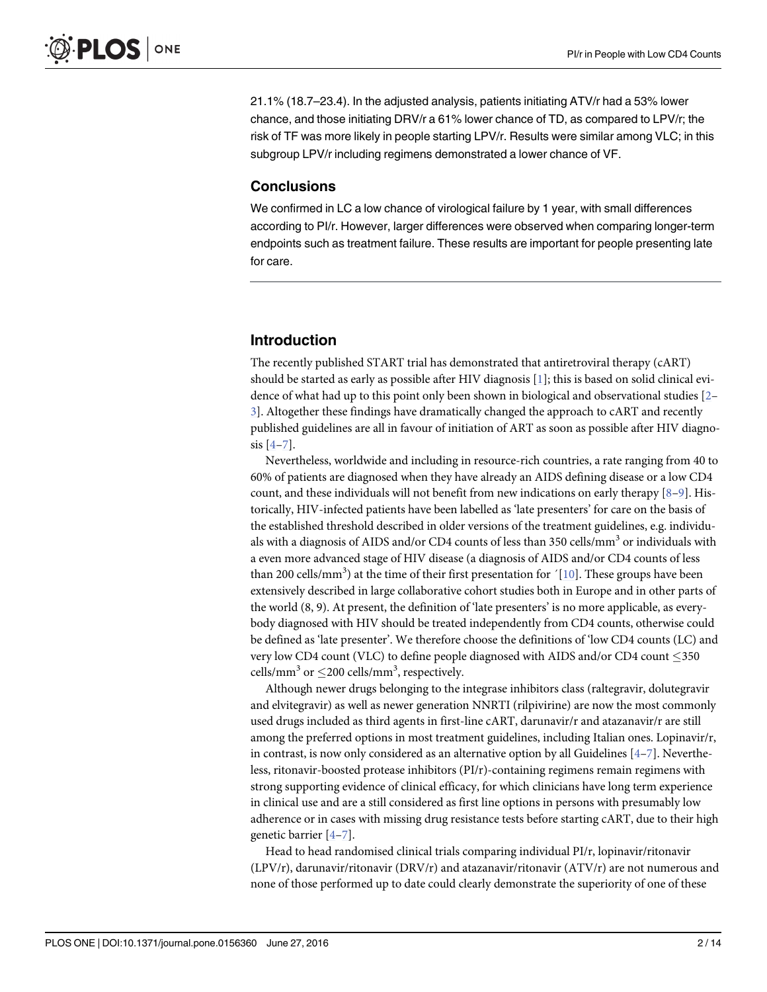<span id="page-1-0"></span>21.1% (18.7–23.4). In the adjusted analysis, patients initiating ATV/r had a 53% lower chance, and those initiating DRV/r a 61% lower chance of TD, as compared to LPV/r; the risk of TF was more likely in people starting LPV/r. Results were similar among VLC; in this subgroup LPV/r including regimens demonstrated a lower chance of VF.

#### **Conclusions**

We confirmed in LC a low chance of virological failure by 1 year, with small differences according to PI/r. However, larger differences were observed when comparing longer-term endpoints such as treatment failure. These results are important for people presenting late for care.

## Introduction

The recently published START trial has demonstrated that antiretroviral therapy (cART) should be started as early as possible after HIV diagnosis [[1\]](#page-12-0); this is based on solid clinical evidence of what had up to this point only been shown in biological and observational studies [\[2](#page-12-0)– [3\]](#page-12-0). Altogether these findings have dramatically changed the approach to cART and recently published guidelines are all in favour of initiation of ART as soon as possible after HIV diagnosis [[4](#page-12-0)–[7](#page-13-0)].

Nevertheless, worldwide and including in resource-rich countries, a rate ranging from 40 to 60% of patients are diagnosed when they have already an AIDS defining disease or a low CD4 count, and these individuals will not benefit from new indications on early therapy [[8](#page-13-0)–[9\]](#page-13-0). Historically, HIV-infected patients have been labelled as 'late presenters' for care on the basis of the established threshold described in older versions of the treatment guidelines, e.g. individuals with a diagnosis of AIDS and/or CD4 counts of less than  $350$  cells/mm<sup>3</sup> or individuals with a even more advanced stage of HIV disease (a diagnosis of AIDS and/or CD4 counts of less than 200 cells/mm<sup>3</sup>) at the time of their first presentation for  $\sqrt{10}$ . These groups have been extensively described in large collaborative cohort studies both in Europe and in other parts of the world (8, 9). At present, the definition of 'late presenters' is no more applicable, as everybody diagnosed with HIV should be treated independently from CD4 counts, otherwise could be defined as 'late presenter'. We therefore choose the definitions of 'low CD4 counts (LC) and very low CD4 count (VLC) to define people diagnosed with AIDS and/or CD4 count 350 cells/mm<sup>3</sup> or  $\leq$ 200 cells/mm<sup>3</sup>, respectively.

Although newer drugs belonging to the integrase inhibitors class (raltegravir, dolutegravir and elvitegravir) as well as newer generation NNRTI (rilpivirine) are now the most commonly used drugs included as third agents in first-line cART, darunavir/r and atazanavir/r are still among the preferred options in most treatment guidelines, including Italian ones. Lopinavir/r, in contrast, is now only considered as an alternative option by all Guidelines  $[4-7]$  $[4-7]$  $[4-7]$  $[4-7]$ . Nevertheless, ritonavir-boosted protease inhibitors (PI/r)-containing regimens remain regimens with strong supporting evidence of clinical efficacy, for which clinicians have long term experience in clinical use and are a still considered as first line options in persons with presumably low adherence or in cases with missing drug resistance tests before starting cART, due to their high genetic barrier [\[4](#page-12-0)–[7\]](#page-13-0).

Head to head randomised clinical trials comparing individual PI/r, lopinavir/ritonavir (LPV/r), darunavir/ritonavir (DRV/r) and atazanavir/ritonavir (ATV/r) are not numerous and none of those performed up to date could clearly demonstrate the superiority of one of these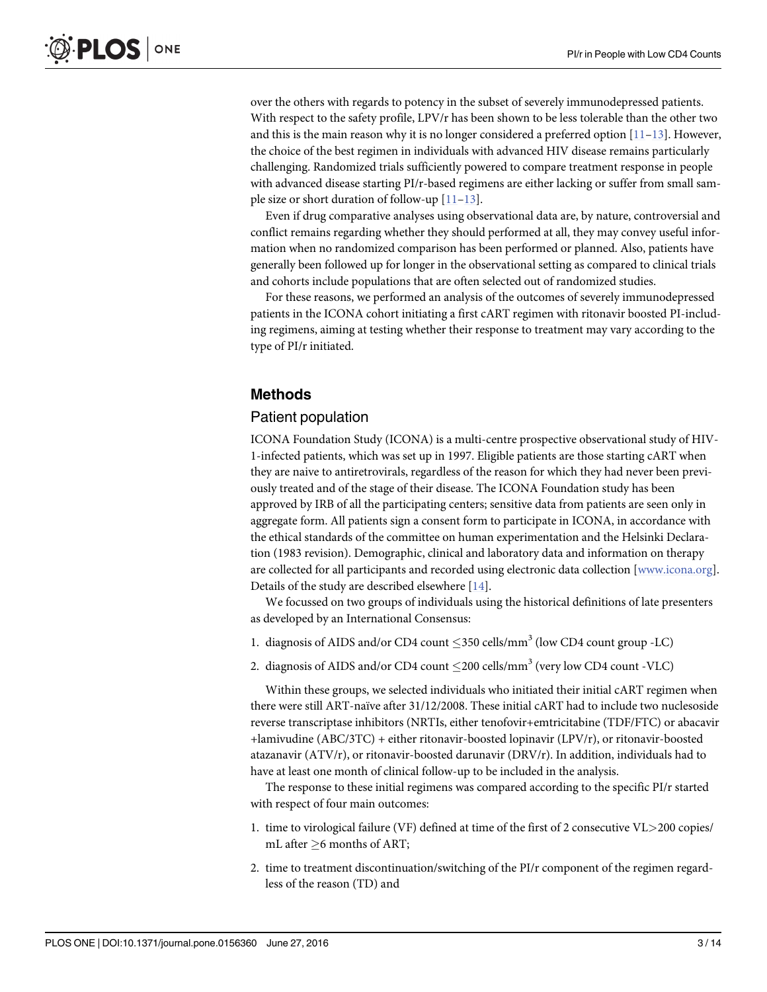<span id="page-2-0"></span>over the others with regards to potency in the subset of severely immunodepressed patients. With respect to the safety profile, LPV/r has been shown to be less tolerable than the other two and this is the main reason why it is no longer considered a preferred option  $[11–13]$  $[11–13]$  $[11–13]$  $[11–13]$  $[11–13]$ . However, the choice of the best regimen in individuals with advanced HIV disease remains particularly challenging. Randomized trials sufficiently powered to compare treatment response in people with advanced disease starting PI/r-based regimens are either lacking or suffer from small sample size or short duration of follow-up  $[11-13]$  $[11-13]$  $[11-13]$  $[11-13]$  $[11-13]$ .

Even if drug comparative analyses using observational data are, by nature, controversial and conflict remains regarding whether they should performed at all, they may convey useful information when no randomized comparison has been performed or planned. Also, patients have generally been followed up for longer in the observational setting as compared to clinical trials and cohorts include populations that are often selected out of randomized studies.

For these reasons, we performed an analysis of the outcomes of severely immunodepressed patients in the ICONA cohort initiating a first cART regimen with ritonavir boosted PI-including regimens, aiming at testing whether their response to treatment may vary according to the type of PI/r initiated.

## Methods

## Patient population

ICONA Foundation Study (ICONA) is a multi-centre prospective observational study of HIV-1-infected patients, which was set up in 1997. Eligible patients are those starting cART when they are naive to antiretrovirals, regardless of the reason for which they had never been previously treated and of the stage of their disease. The ICONA Foundation study has been approved by IRB of all the participating centers; sensitive data from patients are seen only in aggregate form. All patients sign a consent form to participate in ICONA, in accordance with the ethical standards of the committee on human experimentation and the Helsinki Declaration (1983 revision). Demographic, clinical and laboratory data and information on therapy are collected for all participants and recorded using electronic data collection [\[www.icona.org\]](http://www.icona.org). Details of the study are described elsewhere  $[14]$ .

We focussed on two groups of individuals using the historical definitions of late presenters as developed by an International Consensus:

- 1. diagnosis of AIDS and/or CD4 count  $\leq$ 350 cells/mm<sup>3</sup> (low CD4 count group -LC)
- 2. diagnosis of AIDS and/or CD4 count  $\leq$ 200 cells/mm<sup>3</sup> (very low CD4 count -VLC)

Within these groups, we selected individuals who initiated their initial cART regimen when there were still ART-naïve after 31/12/2008. These initial cART had to include two nuclesoside reverse transcriptase inhibitors (NRTIs, either tenofovir+emtricitabine (TDF/FTC) or abacavir +lamivudine (ABC/3TC) + either ritonavir-boosted lopinavir (LPV/r), or ritonavir-boosted atazanavir (ATV/r), or ritonavir-boosted darunavir (DRV/r). In addition, individuals had to have at least one month of clinical follow-up to be included in the analysis.

The response to these initial regimens was compared according to the specific PI/r started with respect of four main outcomes:

- 1. time to virological failure (VF) defined at time of the first of 2 consecutive VL>200 copies/ mL after  $\geq$ 6 months of ART;
- 2. time to treatment discontinuation/switching of the PI/r component of the regimen regardless of the reason (TD) and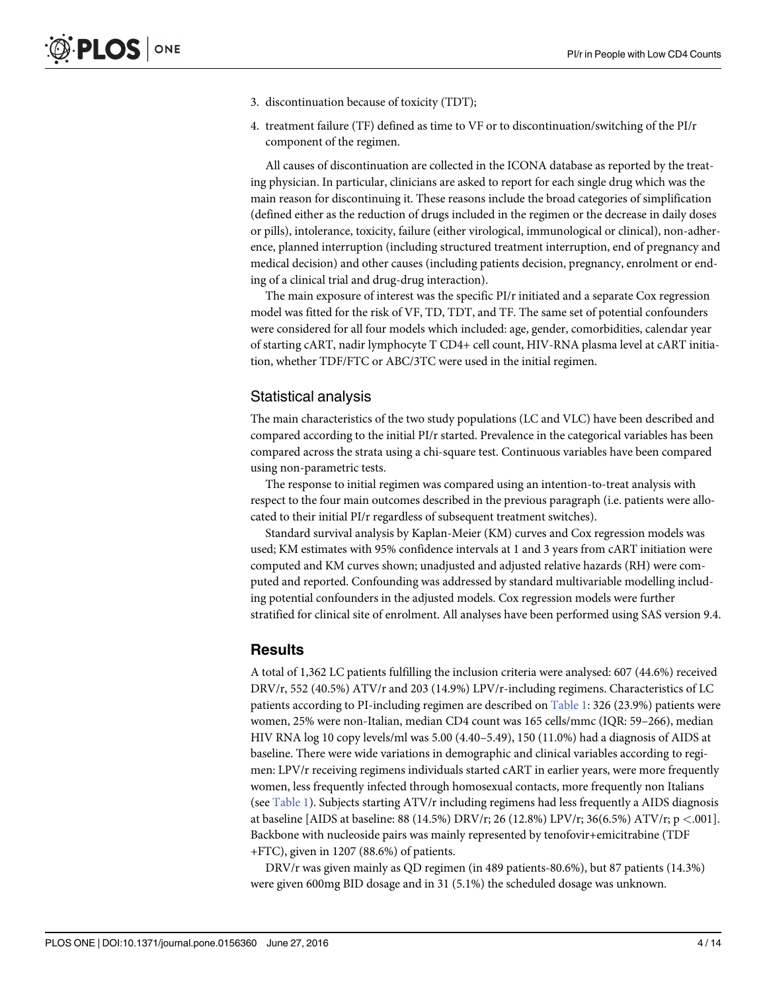- <span id="page-3-0"></span>3. discontinuation because of toxicity (TDT);
- 4. treatment failure (TF) defined as time to VF or to discontinuation/switching of the PI/r component of the regimen.

All causes of discontinuation are collected in the ICONA database as reported by the treating physician. In particular, clinicians are asked to report for each single drug which was the main reason for discontinuing it. These reasons include the broad categories of simplification (defined either as the reduction of drugs included in the regimen or the decrease in daily doses or pills), intolerance, toxicity, failure (either virological, immunological or clinical), non-adherence, planned interruption (including structured treatment interruption, end of pregnancy and medical decision) and other causes (including patients decision, pregnancy, enrolment or ending of a clinical trial and drug-drug interaction).

The main exposure of interest was the specific PI/r initiated and a separate Cox regression model was fitted for the risk of VF, TD, TDT, and TF. The same set of potential confounders were considered for all four models which included: age, gender, comorbidities, calendar year of starting cART, nadir lymphocyte T CD4+ cell count, HIV-RNA plasma level at cART initiation, whether TDF/FTC or ABC/3TC were used in the initial regimen.

## Statistical analysis

The main characteristics of the two study populations (LC and VLC) have been described and compared according to the initial PI/r started. Prevalence in the categorical variables has been compared across the strata using a chi-square test. Continuous variables have been compared using non-parametric tests.

The response to initial regimen was compared using an intention-to-treat analysis with respect to the four main outcomes described in the previous paragraph (i.e. patients were allocated to their initial PI/r regardless of subsequent treatment switches).

Standard survival analysis by Kaplan-Meier (KM) curves and Cox regression models was used; KM estimates with 95% confidence intervals at 1 and 3 years from cART initiation were computed and KM curves shown; unadjusted and adjusted relative hazards (RH) were computed and reported. Confounding was addressed by standard multivariable modelling including potential confounders in the adjusted models. Cox regression models were further stratified for clinical site of enrolment. All analyses have been performed using SAS version 9.4.

#### **Results**

A total of 1,362 LC patients fulfilling the inclusion criteria were analysed: 607 (44.6%) received DRV/r, 552 (40.5%) ATV/r and 203 (14.9%) LPV/r-including regimens. Characteristics of LC patients according to PI-including regimen are described on  $Table 1: 326 (23.9%)$  $Table 1: 326 (23.9%)$  patients were women, 25% were non-Italian, median CD4 count was 165 cells/mmc (IQR: 59–266), median HIV RNA log 10 copy levels/ml was 5.00 (4.40–5.49), 150 (11.0%) had a diagnosis of AIDS at baseline. There were wide variations in demographic and clinical variables according to regimen: LPV/r receiving regimens individuals started cART in earlier years, were more frequently women, less frequently infected through homosexual contacts, more frequently non Italians (see [Table 1\)](#page-4-0). Subjects starting ATV/r including regimens had less frequently a AIDS diagnosis at baseline [AIDS at baseline: 88 (14.5%) DRV/r; 26 (12.8%) LPV/r; 36(6.5%) ATV/r; p <.001]. Backbone with nucleoside pairs was mainly represented by tenofovir+emicitrabine (TDF +FTC), given in 1207 (88.6%) of patients.

DRV/r was given mainly as QD regimen (in 489 patients-80.6%), but 87 patients (14.3%) were given 600mg BID dosage and in 31 (5.1%) the scheduled dosage was unknown.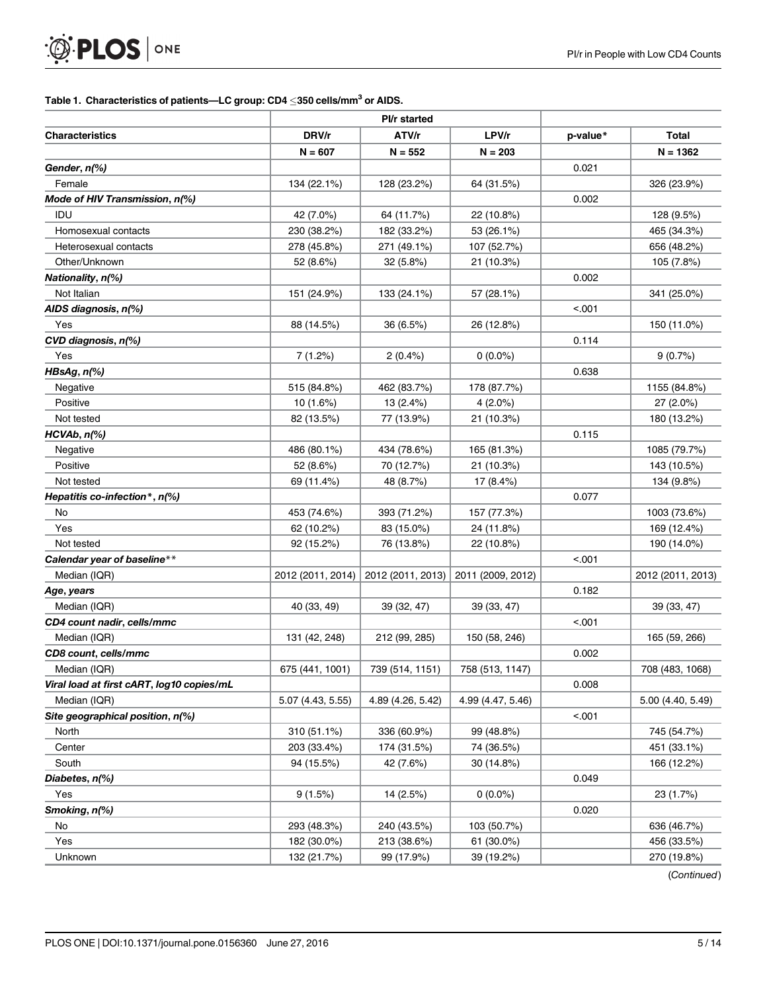#### <span id="page-4-0"></span>[Table 1.](#page-3-0) Characteristics of patients—LC group:  $CD4 \leq 350$  cells/mm<sup>3</sup> or AIDS.

|                                           |                   | Pl/r started      |                   |          |                   |
|-------------------------------------------|-------------------|-------------------|-------------------|----------|-------------------|
| <b>Characteristics</b>                    | DRV/r             | ATV/r             | LPV/r             | p-value* | <b>Total</b>      |
|                                           | $N = 607$         | $N = 552$         | $N = 203$         |          | $N = 1362$        |
| Gender, n(%)                              |                   |                   |                   | 0.021    |                   |
| Female                                    | 134 (22.1%)       | 128 (23.2%)       | 64 (31.5%)        |          | 326 (23.9%)       |
| Mode of HIV Transmission, n(%)            |                   |                   |                   | 0.002    |                   |
| IDU                                       | 42 (7.0%)         | 64 (11.7%)        | 22 (10.8%)        |          | 128 (9.5%)        |
| Homosexual contacts                       | 230 (38.2%)       | 182 (33.2%)       | 53 (26.1%)        |          | 465 (34.3%)       |
| Heterosexual contacts                     | 278 (45.8%)       | 271 (49.1%)       | 107 (52.7%)       |          | 656 (48.2%)       |
| Other/Unknown                             | 52 (8.6%)         | 32 (5.8%)         | 21 (10.3%)        |          | 105 (7.8%)        |
| Nationality, n(%)                         |                   |                   |                   | 0.002    |                   |
| Not Italian                               | 151 (24.9%)       | 133 (24.1%)       | 57 (28.1%)        |          | 341 (25.0%)       |
| AIDS diagnosis, n(%)                      |                   |                   |                   | < .001   |                   |
| Yes                                       | 88 (14.5%)        | 36 (6.5%)         | 26 (12.8%)        |          | 150 (11.0%)       |
| CVD diagnosis, n(%)                       |                   |                   |                   | 0.114    |                   |
| Yes                                       | 7(1.2%)           | 2(0.4%)           | $0(0.0\%)$        |          | 9(0.7%)           |
| HBsAg, n(%)                               |                   |                   |                   | 0.638    |                   |
| Negative                                  | 515 (84.8%)       | 462 (83.7%)       | 178 (87.7%)       |          | 1155 (84.8%)      |
| Positive                                  | 10 (1.6%)         | 13 (2.4%)         | $4(2.0\%)$        |          | 27 (2.0%)         |
| Not tested                                | 82 (13.5%)        | 77 (13.9%)        | 21 (10.3%)        |          | 180 (13.2%)       |
| $HCVAb, n$ $\%$                           |                   |                   |                   | 0.115    |                   |
| Negative                                  | 486 (80.1%)       | 434 (78.6%)       | 165 (81.3%)       |          | 1085 (79.7%)      |
| Positive                                  | 52 (8.6%)         | 70 (12.7%)        | 21 (10.3%)        |          | 143 (10.5%)       |
| Not tested                                | 69 (11.4%)        | 48 (8.7%)         | 17 (8.4%)         |          | 134 (9.8%)        |
| Hepatitis co-infection $^*$ , n(%)        |                   |                   |                   | 0.077    |                   |
| No                                        | 453 (74.6%)       | 393 (71.2%)       | 157 (77.3%)       |          | 1003 (73.6%)      |
| Yes                                       | 62 (10.2%)        | 83 (15.0%)        | 24 (11.8%)        |          | 169 (12.4%)       |
| Not tested                                | 92 (15.2%)        | 76 (13.8%)        | 22 (10.8%)        |          | 190 (14.0%)       |
| Calendar year of baseline**               |                   |                   |                   | < .001   |                   |
| Median (IQR)                              | 2012 (2011, 2014) | 2012 (2011, 2013) | 2011 (2009, 2012) |          | 2012 (2011, 2013) |
| Age, years                                |                   |                   |                   | 0.182    |                   |
| Median (IQR)                              | 40 (33, 49)       | 39 (32, 47)       | 39 (33, 47)       |          | 39 (33, 47)       |
| CD4 count nadir, cells/mmc                |                   |                   |                   | < .001   |                   |
| Median (IQR)                              | 131 (42, 248)     | 212 (99, 285)     | 150 (58, 246)     |          | 165 (59, 266)     |
| CD8 count, cells/mmc                      |                   |                   |                   | 0.002    |                   |
| Median (IQR)                              | 675 (441, 1001)   | 739 (514, 1151)   | 758 (513, 1147)   |          | 708 (483, 1068)   |
| Viral load at first cART, log10 copies/mL |                   |                   |                   | 0.008    |                   |
| Median (IQR)                              | 5.07 (4.43, 5.55) | 4.89 (4.26, 5.42) | 4.99 (4.47, 5.46) |          | 5.00 (4.40, 5.49) |
| Site geographical position, n(%)          |                   |                   |                   | < .001   |                   |
| North                                     | 310 (51.1%)       | 336 (60.9%)       | 99 (48.8%)        |          | 745 (54.7%)       |
| Center                                    | 203 (33.4%)       | 174 (31.5%)       | 74 (36.5%)        |          | 451 (33.1%)       |
| South                                     | 94 (15.5%)        | 42 (7.6%)         | 30 (14.8%)        |          | 166 (12.2%)       |
| Diabetes, n(%)                            |                   |                   |                   | 0.049    |                   |
| Yes                                       | 9(1.5%)           | 14 (2.5%)         | $0(0.0\%)$        |          | 23 (1.7%)         |
| Smoking, n(%)                             |                   |                   |                   | 0.020    |                   |
| No                                        | 293 (48.3%)       | 240 (43.5%)       | 103 (50.7%)       |          | 636 (46.7%)       |
| Yes                                       | 182 (30.0%)       | 213 (38.6%)       | 61 (30.0%)        |          | 456 (33.5%)       |
| Unknown                                   | 132 (21.7%)       | 99 (17.9%)        | 39 (19.2%)        |          | 270 (19.8%)       |
|                                           |                   |                   |                   |          |                   |

(Continued)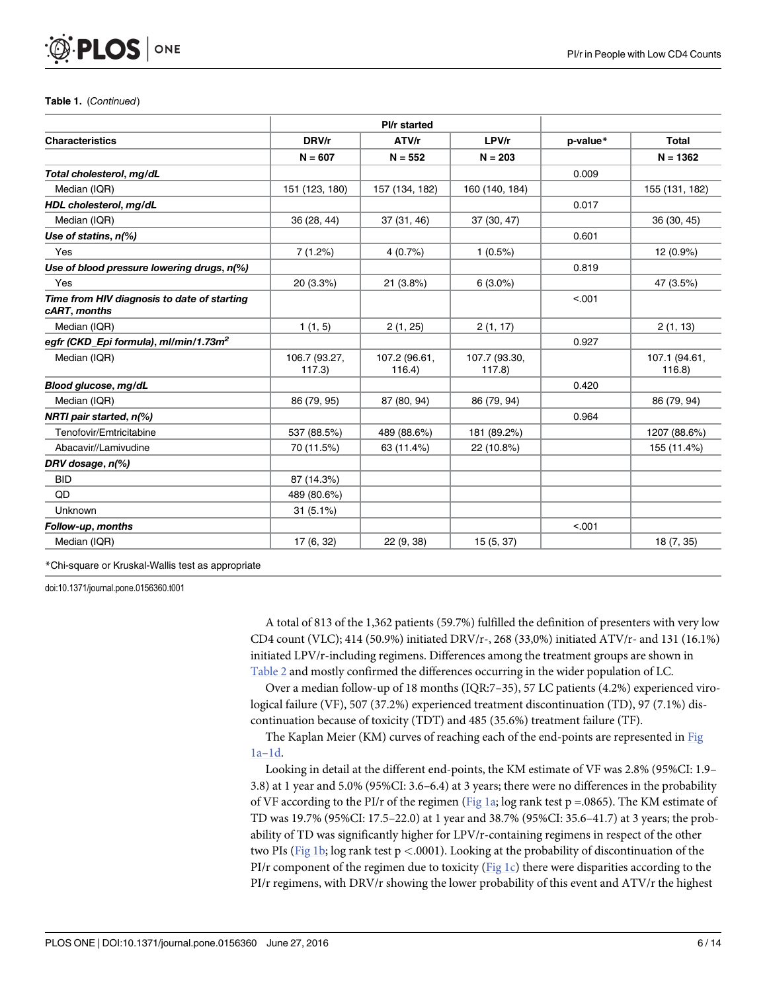#### Table 1. (Continued)

<span id="page-5-0"></span>**PLOS I** 

ONE

|                                                             | <b>PI/r started</b>     |                         |                        |          |                        |
|-------------------------------------------------------------|-------------------------|-------------------------|------------------------|----------|------------------------|
| <b>Characteristics</b>                                      | DRV/r                   | ATV/r                   | LPV/r                  | p-value* | <b>Total</b>           |
|                                                             | $N = 607$               | $N = 552$               | $N = 203$              |          | $N = 1362$             |
| Total cholesterol, mg/dL                                    |                         |                         |                        | 0.009    |                        |
| Median (IQR)                                                | 151 (123, 180)          | 157 (134, 182)          | 160 (140, 184)         |          | 155 (131, 182)         |
| HDL cholesterol, mg/dL                                      |                         |                         |                        | 0.017    |                        |
| Median (IQR)                                                | 36 (28, 44)             | 37 (31, 46)             | 37 (30, 47)            |          | 36 (30, 45)            |
| Use of statins, $n\llap/$                                   |                         |                         |                        | 0.601    |                        |
| Yes                                                         | 7(1.2%)                 | 4(0.7%)                 | $1(0.5\%)$             |          | 12 (0.9%)              |
| Use of blood pressure lowering drugs, n(%)                  |                         |                         |                        | 0.819    |                        |
| Yes                                                         | 20 (3.3%)               | 21(3.8%)                | $6(3.0\%)$             |          | 47 (3.5%)              |
| Time from HIV diagnosis to date of starting<br>cART, months |                         |                         |                        | < .001   |                        |
| Median (IQR)                                                | 1(1, 5)                 | 2(1, 25)                | 2(1, 17)               |          | 2(1, 13)               |
| egfr (CKD Epi formula), ml/min/1.73m <sup>2</sup>           |                         |                         |                        | 0.927    |                        |
| Median (IQR)                                                | 106.7 (93.27,<br>117.3) | 107.2 (96.61,<br>116.4) | 107.7 (93.30,<br>117.8 |          | 107.1 (94.61,<br>116.8 |
| Blood glucose, mg/dL                                        |                         |                         |                        | 0.420    |                        |
| Median (IQR)                                                | 86 (79, 95)             | 87 (80, 94)             | 86 (79, 94)            |          | 86 (79, 94)            |
| NRTI pair started, n(%)                                     |                         |                         |                        | 0.964    |                        |
| Tenofovir/Emtricitabine                                     | 537 (88.5%)             | 489 (88.6%)             | 181 (89.2%)            |          | 1207 (88.6%)           |
| Abacavir//Lamivudine                                        | 70 (11.5%)              | 63 (11.4%)              | 22 (10.8%)             |          | 155 (11.4%)            |
| DRV dosage, n(%)                                            |                         |                         |                        |          |                        |
| <b>BID</b>                                                  | 87 (14.3%)              |                         |                        |          |                        |
| QD                                                          | 489 (80.6%)             |                         |                        |          |                        |
| Unknown                                                     | $31(5.1\%)$             |                         |                        |          |                        |
| Follow-up, months                                           |                         |                         |                        | < .001   |                        |
| Median (IQR)                                                | 17 (6, 32)              | 22 (9, 38)              | 15(5, 37)              |          | 18 (7, 35)             |

\*Chi-square or Kruskal-Wallis test as appropriate

doi:10.1371/journal.pone.0156360.t001

A total of 813 of the 1,362 patients (59.7%) fulfilled the definition of presenters with very low CD4 count (VLC); 414 (50.9%) initiated DRV/r-, 268 (33,0%) initiated ATV/r- and 131 (16.1%) initiated LPV/r-including regimens. Differences among the treatment groups are shown in [Table 2](#page-6-0) and mostly confirmed the differences occurring in the wider population of LC.

Over a median follow-up of 18 months (IQR:7–35), 57 LC patients (4.2%) experienced virological failure (VF), 507 (37.2%) experienced treatment discontinuation (TD), 97 (7.1%) discontinuation because of toxicity (TDT) and 485 (35.6%) treatment failure (TF).

The Kaplan Meier (KM) curves of reaching each of the end-points are represented in  $Fig$ 1a–[1d](#page-8-0).

Looking in detail at the different end-points, the KM estimate of VF was 2.8% (95%CI: 1.9– 3.8) at 1 year and 5.0% (95%CI: 3.6–6.4) at 3 years; there were no differences in the probability of VF according to the PI/r of the regimen [\(Fig 1a;](#page-8-0) log rank test  $p = 0.0865$ ). The KM estimate of TD was 19.7% (95%CI: 17.5–22.0) at 1 year and 38.7% (95%CI: 35.6–41.7) at 3 years; the probability of TD was significantly higher for LPV/r-containing regimens in respect of the other two PIs ( $Fig 1b$ ; log rank test p <.0001). Looking at the probability of discontinuation of the PI/r component of the regimen due to toxicity ( $Fig 1c$ ) there were disparities according to the PI/r regimens, with DRV/r showing the lower probability of this event and ATV/r the highest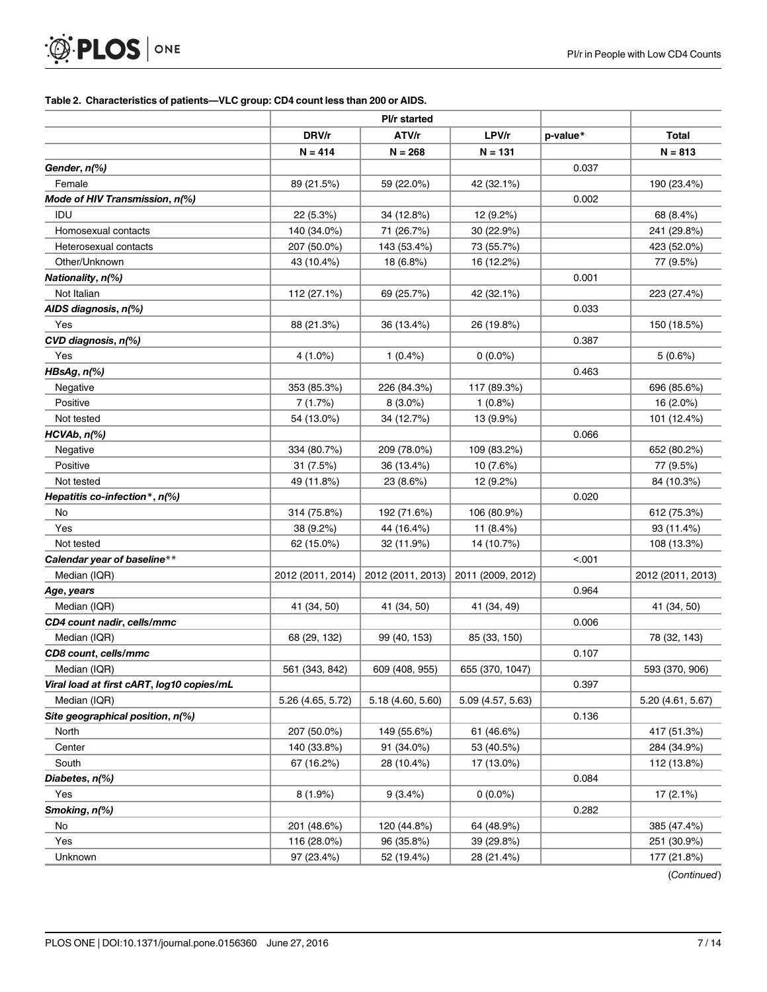# <span id="page-6-0"></span>O PLOS ONE

#### [Table 2.](#page-5-0) Characteristics of patients—VLC group: CD4 count less than 200 or AIDS.

|                                           |                   | Pl/r started      |                   |          |                   |
|-------------------------------------------|-------------------|-------------------|-------------------|----------|-------------------|
|                                           | DRV/r             | ATV/r             | LPV/r             | p-value* | <b>Total</b>      |
|                                           | $N = 414$         | $N = 268$         | $N = 131$         |          | $N = 813$         |
| Gender, n(%)                              |                   |                   |                   | 0.037    |                   |
| Female                                    | 89 (21.5%)        | 59 (22.0%)        | 42 (32.1%)        |          | 190 (23.4%)       |
| Mode of HIV Transmission, n(%)            |                   |                   |                   | 0.002    |                   |
| IDU                                       | 22 (5.3%)         | 34 (12.8%)        | 12 (9.2%)         |          | 68 (8.4%)         |
| Homosexual contacts                       | 140 (34.0%)       | 71 (26.7%)        | 30 (22.9%)        |          | 241 (29.8%)       |
| Heterosexual contacts                     | 207 (50.0%)       | 143 (53.4%)       | 73 (55.7%)        |          | 423 (52.0%)       |
| Other/Unknown                             | 43 (10.4%)        | 18 (6.8%)         | 16 (12.2%)        |          | 77 (9.5%)         |
| Nationality, n(%)                         |                   |                   |                   | 0.001    |                   |
| Not Italian                               | 112 (27.1%)       | 69 (25.7%)        | 42 (32.1%)        |          | 223 (27.4%)       |
| AIDS diagnosis, n(%)                      |                   |                   |                   | 0.033    |                   |
| Yes                                       | 88 (21.3%)        | 36 (13.4%)        | 26 (19.8%)        |          | 150 (18.5%)       |
| CVD diagnosis, n(%)                       |                   |                   |                   | 0.387    |                   |
| Yes                                       | $4(1.0\%)$        | $1(0.4\%)$        | $0(0.0\%)$        |          | 5(0.6%)           |
| $HBSAg, n$ (%)                            |                   |                   |                   | 0.463    |                   |
| Negative                                  | 353 (85.3%)       | 226 (84.3%)       | 117 (89.3%)       |          | 696 (85.6%)       |
| Positive                                  | 7(1.7%)           | $8(3.0\%)$        | $1(0.8\%)$        |          | 16 (2.0%)         |
| Not tested                                | 54 (13.0%)        | 34 (12.7%)        | 13 (9.9%)         |          | 101 (12.4%)       |
| HCVAb, n(%)                               |                   |                   |                   | 0.066    |                   |
| Negative                                  | 334 (80.7%)       | 209 (78.0%)       | 109 (83.2%)       |          | 652 (80.2%)       |
| Positive                                  | 31 (7.5%)         | 36 (13.4%)        | 10 (7.6%)         |          | 77 (9.5%)         |
| Not tested                                | 49 (11.8%)        | 23 (8.6%)         | 12 (9.2%)         |          | 84 (10.3%)        |
| Hepatitis co-infection*, $n$ (%)          |                   |                   |                   | 0.020    |                   |
| No                                        | 314 (75.8%)       | 192 (71.6%)       | 106 (80.9%)       |          | 612 (75.3%)       |
| Yes                                       | 38 (9.2%)         | 44 (16.4%)        | 11 $(8.4\%)$      |          | 93 (11.4%)        |
| Not tested                                | 62 (15.0%)        | 32 (11.9%)        | 14 (10.7%)        |          | 108 (13.3%)       |
| Calendar year of baseline**               |                   |                   |                   | < .001   |                   |
| Median (IQR)                              | 2012 (2011, 2014) | 2012 (2011, 2013) | 2011 (2009, 2012) |          | 2012 (2011, 2013) |
| Age, years                                |                   |                   |                   | 0.964    |                   |
| Median (IQR)                              | 41 (34, 50)       | 41 (34, 50)       | 41 (34, 49)       |          | 41 (34, 50)       |
| CD4 count nadir, cells/mmc                |                   |                   |                   | 0.006    |                   |
| Median (IQR)                              | 68 (29, 132)      | 99 (40, 153)      | 85 (33, 150)      |          | 78 (32, 143)      |
| CD8 count, cells/mmc                      |                   |                   |                   | 0.107    |                   |
| Median (IQR)                              | 561 (343, 842)    | 609 (408, 955)    | 655 (370, 1047)   |          | 593 (370, 906)    |
| Viral load at first cART, log10 copies/mL |                   |                   |                   | 0.397    |                   |
| Median (IQR)                              | 5.26 (4.65, 5.72) | 5.18 (4.60, 5.60) | 5.09 (4.57, 5.63) |          | 5.20 (4.61, 5.67) |
| Site geographical position, n(%)          |                   |                   |                   | 0.136    |                   |
| North                                     | 207 (50.0%)       | 149 (55.6%)       | 61 (46.6%)        |          | 417 (51.3%)       |
| Center                                    | 140 (33.8%)       | 91 (34.0%)        | 53 (40.5%)        |          | 284 (34.9%)       |
| South                                     | 67 (16.2%)        | 28 (10.4%)        | 17 (13.0%)        |          | 112 (13.8%)       |
| Diabetes, n(%)                            |                   |                   |                   | 0.084    |                   |
| Yes                                       | 8(1.9%)           | 9(3.4%)           | $0(0.0\%)$        |          | 17 (2.1%)         |
| Smoking, n(%)                             |                   |                   |                   | 0.282    |                   |
| No                                        | 201 (48.6%)       | 120 (44.8%)       | 64 (48.9%)        |          | 385 (47.4%)       |
| Yes                                       | 116 (28.0%)       | 96 (35.8%)        | 39 (29.8%)        |          | 251 (30.9%)       |
| Unknown                                   | 97 (23.4%)        | 52 (19.4%)        | 28 (21.4%)        |          | 177 (21.8%)       |
|                                           |                   |                   |                   |          |                   |

(Continued)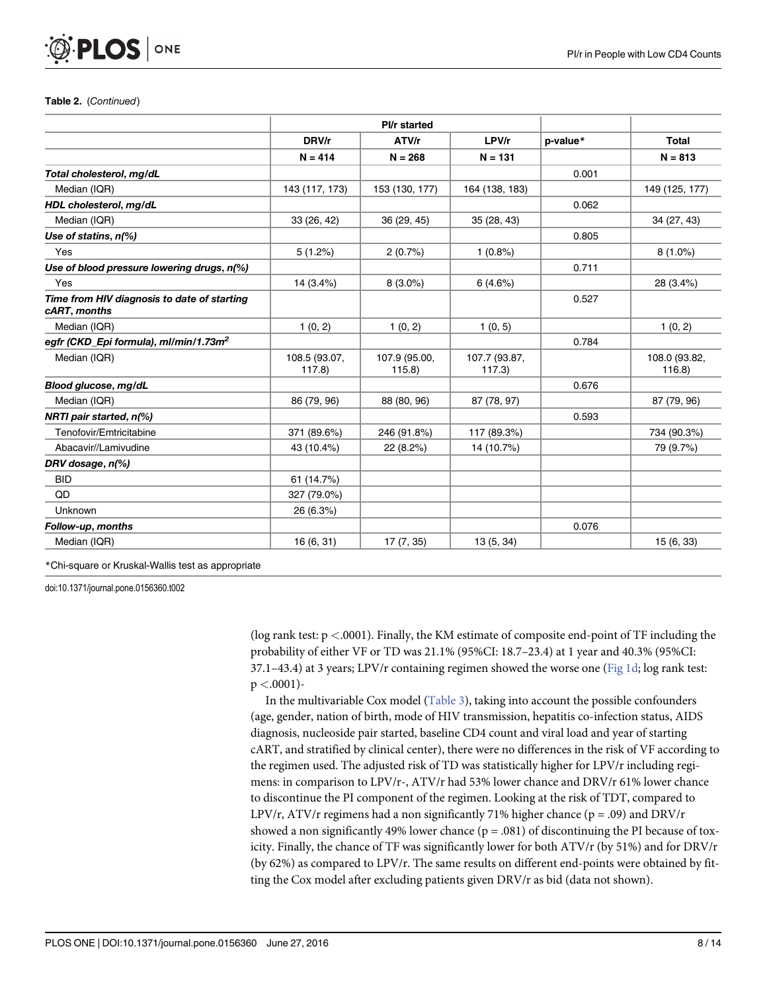#### <span id="page-7-0"></span>Table 2. (Continued)

|                                                             |                        | <b>PI/r started</b>    |                         |          |                        |
|-------------------------------------------------------------|------------------------|------------------------|-------------------------|----------|------------------------|
|                                                             | DRV/r                  | ATV/r                  | LPV/r                   | p-value* | Total                  |
|                                                             | $N = 414$              | $N = 268$              | $N = 131$               |          | $N = 813$              |
| Total cholesterol, mg/dL                                    |                        |                        |                         | 0.001    |                        |
| Median (IQR)                                                | 143 (117, 173)         | 153 (130, 177)         | 164 (138, 183)          |          | 149 (125, 177)         |
| HDL cholesterol, mg/dL                                      |                        |                        |                         | 0.062    |                        |
| Median (IQR)                                                | 33 (26, 42)            | 36 (29, 45)            | 35 (28, 43)             |          | 34 (27, 43)            |
| Use of statins, $n\llap/$                                   |                        |                        |                         | 0.805    |                        |
| Yes                                                         | 5(1.2%)                | 2(0.7%)                | $1(0.8\%)$              |          | $8(1.0\%)$             |
| Use of blood pressure lowering drugs, n(%)                  |                        |                        |                         | 0.711    |                        |
| Yes                                                         | $14(3.4\%)$            | $8(3.0\%)$             | 6(4.6%)                 |          | 28 (3.4%)              |
| Time from HIV diagnosis to date of starting<br>cART, months |                        |                        |                         | 0.527    |                        |
| Median (IQR)                                                | 1(0, 2)                | 1(0, 2)                | 1(0, 5)                 |          | 1(0, 2)                |
| egfr (CKD_Epi formula), ml/min/1.73m <sup>2</sup>           |                        |                        |                         | 0.784    |                        |
| Median (IQR)                                                | 108.5 (93.07,<br>117.8 | 107.9 (95.00,<br>115.8 | 107.7 (93.87,<br>117.3) |          | 108.0 (93.82,<br>116.8 |
| Blood glucose, mg/dL                                        |                        |                        |                         | 0.676    |                        |
| Median (IQR)                                                | 86 (79, 96)            | 88 (80, 96)            | 87 (78, 97)             |          | 87 (79, 96)            |
| NRTI pair started, n(%)                                     |                        |                        |                         | 0.593    |                        |
| Tenofovir/Emtricitabine                                     | 371 (89.6%)            | 246 (91.8%)            | 117 (89.3%)             |          | 734 (90.3%)            |
| Abacavir//Lamivudine                                        | 43 (10.4%)             | 22 (8.2%)              | 14 (10.7%)              |          | 79 (9.7%)              |
| DRV dosage, n(%)                                            |                        |                        |                         |          |                        |
| <b>BID</b>                                                  | 61 (14.7%)             |                        |                         |          |                        |
| QD                                                          | 327 (79.0%)            |                        |                         |          |                        |
| Unknown                                                     | 26 (6.3%)              |                        |                         |          |                        |
| Follow-up, months                                           |                        |                        |                         | 0.076    |                        |
| Median (IQR)                                                | 16(6, 31)              | 17 (7, 35)             | 13 (5, 34)              |          | 15(6, 33)              |

\*Chi-square or Kruskal-Wallis test as appropriate

doi:10.1371/journal.pone.0156360.t002

(log rank test: p <.0001). Finally, the KM estimate of composite end-point of TF including the probability of either VF or TD was 21.1% (95%CI: 18.7–23.4) at 1 year and 40.3% (95%CI: 37.1–43.4) at 3 years; LPV/r containing regimen showed the worse one ( $Fig 1d$ ; log rank test: p <.0001)-

In the multivariable Cox model  $(Table 3)$  $(Table 3)$ , taking into account the possible confounders (age, gender, nation of birth, mode of HIV transmission, hepatitis co-infection status, AIDS diagnosis, nucleoside pair started, baseline CD4 count and viral load and year of starting cART, and stratified by clinical center), there were no differences in the risk of VF according to the regimen used. The adjusted risk of TD was statistically higher for LPV/r including regimens: in comparison to LPV/r-, ATV/r had 53% lower chance and DRV/r 61% lower chance to discontinue the PI component of the regimen. Looking at the risk of TDT, compared to LPV/r, ATV/r regimens had a non significantly 71% higher chance ( $p = .09$ ) and DRV/r showed a non significantly 49% lower chance  $(p = .081)$  of discontinuing the PI because of toxicity. Finally, the chance of TF was significantly lower for both ATV/r (by 51%) and for DRV/r (by 62%) as compared to LPV/r. The same results on different end-points were obtained by fitting the Cox model after excluding patients given DRV/r as bid (data not shown).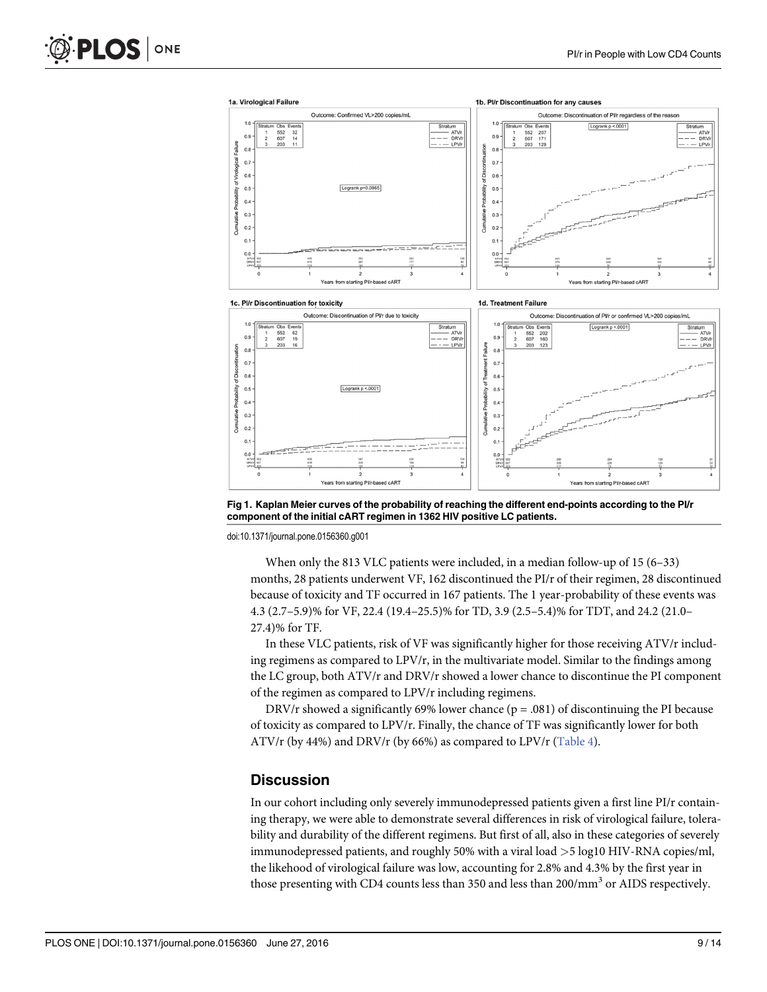<span id="page-8-0"></span>



[Fig 1.](#page-5-0) Kaplan Meier curves of the probability of reaching the different end-points according to the PI/r component of the initial cART regimen in 1362 HIV positive LC patients.

doi:10.1371/journal.pone.0156360.g001

When only the 813 VLC patients were included, in a median follow-up of 15 (6–33) months, 28 patients underwent VF, 162 discontinued the PI/r of their regimen, 28 discontinued because of toxicity and TF occurred in 167 patients. The 1 year-probability of these events was 4.3 (2.7–5.9)% for VF, 22.4 (19.4–25.5)% for TD, 3.9 (2.5–5.4)% for TDT, and 24.2 (21.0– 27.4)% for TF.

In these VLC patients, risk of VF was significantly higher for those receiving ATV/r including regimens as compared to LPV/r, in the multivariate model. Similar to the findings among the LC group, both ATV/r and DRV/r showed a lower chance to discontinue the PI component of the regimen as compared to LPV/r including regimens.

DRV/r showed a significantly 69% lower chance ( $p = .081$ ) of discontinuing the PI because of toxicity as compared to LPV/r. Finally, the chance of TF was significantly lower for both ATV/r (by 44%) and DRV/r (by 66%) as compared to LPV/r ( $Table 4$ ).

#### **Discussion**

In our cohort including only severely immunodepressed patients given a first line PI/r containing therapy, we were able to demonstrate several differences in risk of virological failure, tolerability and durability of the different regimens. But first of all, also in these categories of severely immunodepressed patients, and roughly 50% with a viral load >5 log10 HIV-RNA copies/ml, the likehood of virological failure was low, accounting for 2.8% and 4.3% by the first year in those presenting with CD4 counts less than 350 and less than  $200/\text{mm}^3$  or AIDS respectively.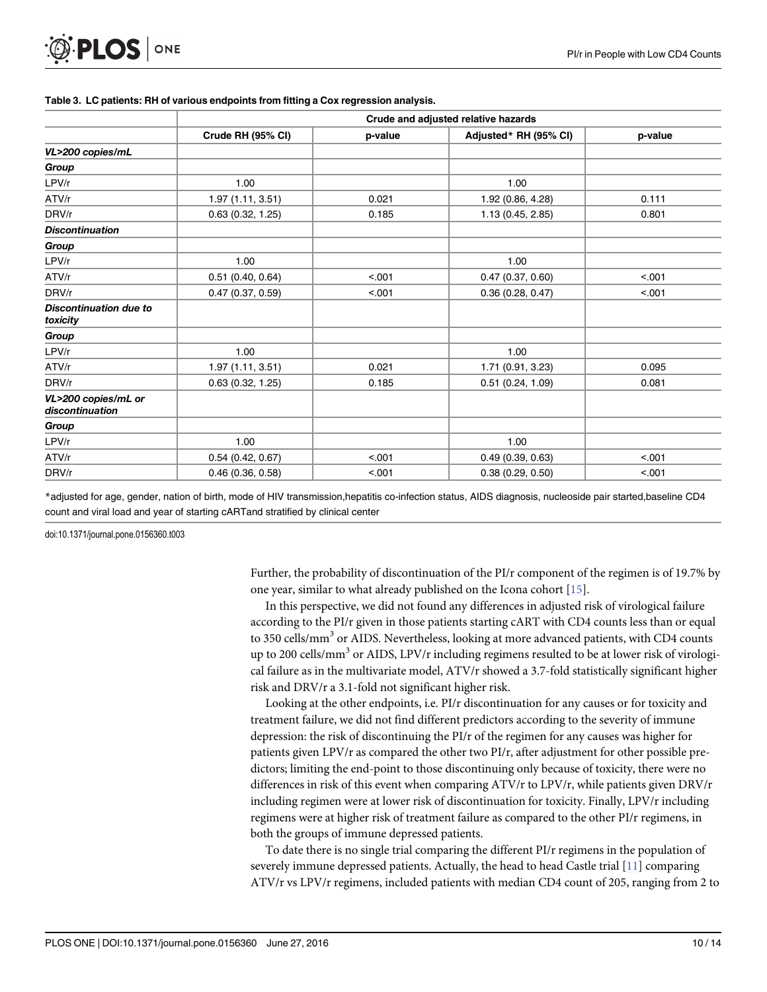<span id="page-9-0"></span>

|                                           | Crude and adjusted relative hazards |         |                       |         |  |  |
|-------------------------------------------|-------------------------------------|---------|-----------------------|---------|--|--|
|                                           | Crude RH (95% CI)                   | p-value | Adjusted* RH (95% CI) | p-value |  |  |
| VL>200 copies/mL                          |                                     |         |                       |         |  |  |
| Group                                     |                                     |         |                       |         |  |  |
| LPV/r                                     | 1.00                                |         | 1.00                  |         |  |  |
| ATV/r                                     | 1.97(1.11, 3.51)                    | 0.021   | 1.92 (0.86, 4.28)     | 0.111   |  |  |
| DRV/r                                     | 0.63(0.32, 1.25)                    | 0.185   | 1.13 (0.45, 2.85)     | 0.801   |  |  |
| <b>Discontinuation</b>                    |                                     |         |                       |         |  |  |
| Group                                     |                                     |         |                       |         |  |  |
| LPV/r                                     | 1.00                                |         | 1.00                  |         |  |  |
| ATV/r                                     | $0.51$ (0.40, 0.64)                 | < 0.01  | 0.47(0.37, 0.60)      | < 0.01  |  |  |
| DRV/r                                     | 0.47(0.37, 0.59)                    | < .001  | 0.36(0.28, 0.47)      | < .001  |  |  |
| <b>Discontinuation due to</b><br>toxicity |                                     |         |                       |         |  |  |
| Group                                     |                                     |         |                       |         |  |  |
| LPV/r                                     | 1.00                                |         | 1.00                  |         |  |  |
| ATV/r                                     | 1.97(1.11, 3.51)                    | 0.021   | 1.71 (0.91, 3.23)     | 0.095   |  |  |
| DRV/r                                     | 0.63(0.32, 1.25)                    | 0.185   | 0.51(0.24, 1.09)      | 0.081   |  |  |
| VL>200 copies/mL or<br>discontinuation    |                                     |         |                       |         |  |  |
| Group                                     |                                     |         |                       |         |  |  |
| LPV/r                                     | 1.00                                |         | 1.00                  |         |  |  |
| ATV/r                                     | 0.54(0.42, 0.67)                    | < .001  | 0.49(0.39, 0.63)      | < .001  |  |  |
| DRV/r                                     | 0.46(0.36, 0.58)                    | < .001  | 0.38(0.29, 0.50)      | < .001  |  |  |

#### [Table 3.](#page-7-0) LC patients: RH of various endpoints from fitting a Cox regression analysis.

\*adjusted for age, gender, nation of birth, mode of HIV transmission,hepatitis co-infection status, AIDS diagnosis, nucleoside pair started,baseline CD4 count and viral load and year of starting cARTand stratified by clinical center

doi:10.1371/journal.pone.0156360.t003

Further, the probability of discontinuation of the PI/r component of the regimen is of 19.7% by one year, similar to what already published on the Icona cohort [\[15](#page-13-0)].

In this perspective, we did not found any differences in adjusted risk of virological failure according to the PI/r given in those patients starting cART with CD4 counts less than or equal to 350 cells/mm<sup>3</sup> or AIDS. Nevertheless, looking at more advanced patients, with CD4 counts up to 200 cells/mm<sup>3</sup> or AIDS, LPV/r including regimens resulted to be at lower risk of virological failure as in the multivariate model, ATV/r showed a 3.7-fold statistically significant higher risk and DRV/r a 3.1-fold not significant higher risk.

Looking at the other endpoints, i.e. PI/r discontinuation for any causes or for toxicity and treatment failure, we did not find different predictors according to the severity of immune depression: the risk of discontinuing the PI/r of the regimen for any causes was higher for patients given LPV/r as compared the other two PI/r, after adjustment for other possible predictors; limiting the end-point to those discontinuing only because of toxicity, there were no differences in risk of this event when comparing ATV/r to LPV/r, while patients given DRV/r including regimen were at lower risk of discontinuation for toxicity. Finally, LPV/r including regimens were at higher risk of treatment failure as compared to the other PI/r regimens, in both the groups of immune depressed patients.

To date there is no single trial comparing the different PI/r regimens in the population of severely immune depressed patients. Actually, the head to head Castle trial [\[11\]](#page-13-0) comparing ATV/r vs LPV/r regimens, included patients with median CD4 count of 205, ranging from 2 to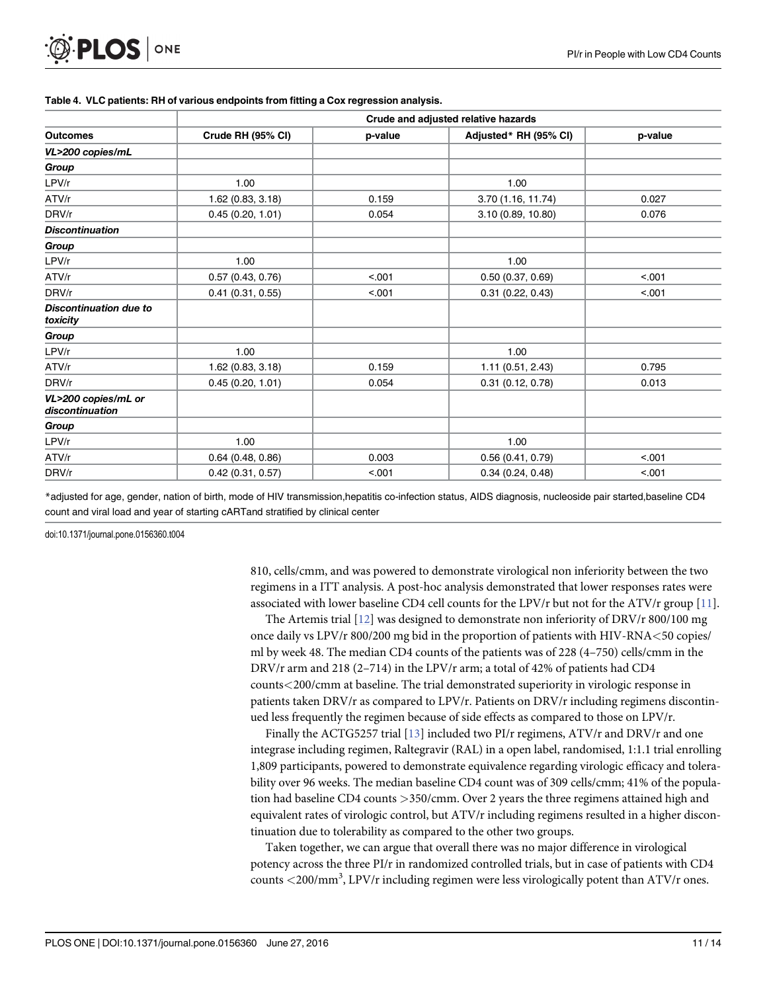<span id="page-10-0"></span>

|                                        | Crude and adjusted relative hazards |         |                       |         |  |  |  |
|----------------------------------------|-------------------------------------|---------|-----------------------|---------|--|--|--|
| <b>Outcomes</b>                        | Crude RH (95% CI)                   | p-value | Adjusted* RH (95% CI) | p-value |  |  |  |
| VL>200 copies/mL                       |                                     |         |                       |         |  |  |  |
| Group                                  |                                     |         |                       |         |  |  |  |
| LPV/r                                  | 1.00                                |         | 1.00                  |         |  |  |  |
| ATV/r                                  | 1.62 (0.83, 3.18)                   | 0.159   | 3.70 (1.16, 11.74)    | 0.027   |  |  |  |
| DRV/r                                  | 0.45(0.20, 1.01)                    | 0.054   | 3.10 (0.89, 10.80)    | 0.076   |  |  |  |
| <b>Discontinuation</b>                 |                                     |         |                       |         |  |  |  |
| Group                                  |                                     |         |                       |         |  |  |  |
| LPV/r                                  | 1.00                                |         | 1.00                  |         |  |  |  |
| ATV/r                                  | 0.57(0.43, 0.76)                    | < .001  | 0.50(0.37, 0.69)      | < .001  |  |  |  |
| DRV/r                                  | 0.41(0.31, 0.55)                    | < .001  | 0.31(0.22, 0.43)      | < .001  |  |  |  |
| Discontinuation due to<br>toxicity     |                                     |         |                       |         |  |  |  |
| Group                                  |                                     |         |                       |         |  |  |  |
| LPV/r                                  | 1.00                                |         | 1.00                  |         |  |  |  |
| ATV/r                                  | 1.62 (0.83, 3.18)                   | 0.159   | 1.11(0.51, 2.43)      | 0.795   |  |  |  |
| DRV/r                                  | 0.45(0.20, 1.01)                    | 0.054   | 0.31(0.12, 0.78)      | 0.013   |  |  |  |
| VL>200 copies/mL or<br>discontinuation |                                     |         |                       |         |  |  |  |
| Group                                  |                                     |         |                       |         |  |  |  |
| LPV/r                                  | 1.00                                |         | 1.00                  |         |  |  |  |
| ATV/r                                  | $0.64$ (0.48, 0.86)                 | 0.003   | 0.56(0.41, 0.79)      | < .001  |  |  |  |
| DRV/r                                  | 0.42(0.31, 0.57)                    | < .001  | 0.34(0.24, 0.48)      | < .001  |  |  |  |

#### [Table 4.](#page-8-0) VLC patients: RH of various endpoints from fitting a Cox regression analysis.

\*adjusted for age, gender, nation of birth, mode of HIV transmission,hepatitis co-infection status, AIDS diagnosis, nucleoside pair started,baseline CD4 count and viral load and year of starting cARTand stratified by clinical center

doi:10.1371/journal.pone.0156360.t004

810, cells/cmm, and was powered to demonstrate virological non inferiority between the two regimens in a ITT analysis. A post-hoc analysis demonstrated that lower responses rates were associated with lower baseline CD4 cell counts for the LPV/r but not for the ATV/r group  $[11]$ .

The Artemis trial [[12\]](#page-13-0) was designed to demonstrate non inferiority of DRV/r 800/100 mg once daily vs LPV/r 800/200 mg bid in the proportion of patients with HIV-RNA<50 copies/ ml by week 48. The median CD4 counts of the patients was of 228 (4–750) cells/cmm in the DRV/r arm and 218 (2–714) in the LPV/r arm; a total of 42% of patients had CD4 counts<200/cmm at baseline. The trial demonstrated superiority in virologic response in patients taken DRV/r as compared to LPV/r. Patients on DRV/r including regimens discontinued less frequently the regimen because of side effects as compared to those on LPV/r.

Finally the ACTG5257 trial [\[13\]](#page-13-0) included two PI/r regimens, ATV/r and DRV/r and one integrase including regimen, Raltegravir (RAL) in a open label, randomised, 1:1.1 trial enrolling 1,809 participants, powered to demonstrate equivalence regarding virologic efficacy and tolerability over 96 weeks. The median baseline CD4 count was of 309 cells/cmm; 41% of the population had baseline CD4 counts >350/cmm. Over 2 years the three regimens attained high and equivalent rates of virologic control, but ATV/r including regimens resulted in a higher discontinuation due to tolerability as compared to the other two groups.

Taken together, we can argue that overall there was no major difference in virological potency across the three PI/r in randomized controlled trials, but in case of patients with CD4 counts  $\langle 200/\mathrm{mm}^3, \mathrm{LPV/r}$  including regimen were less virologically potent than ATV/r ones.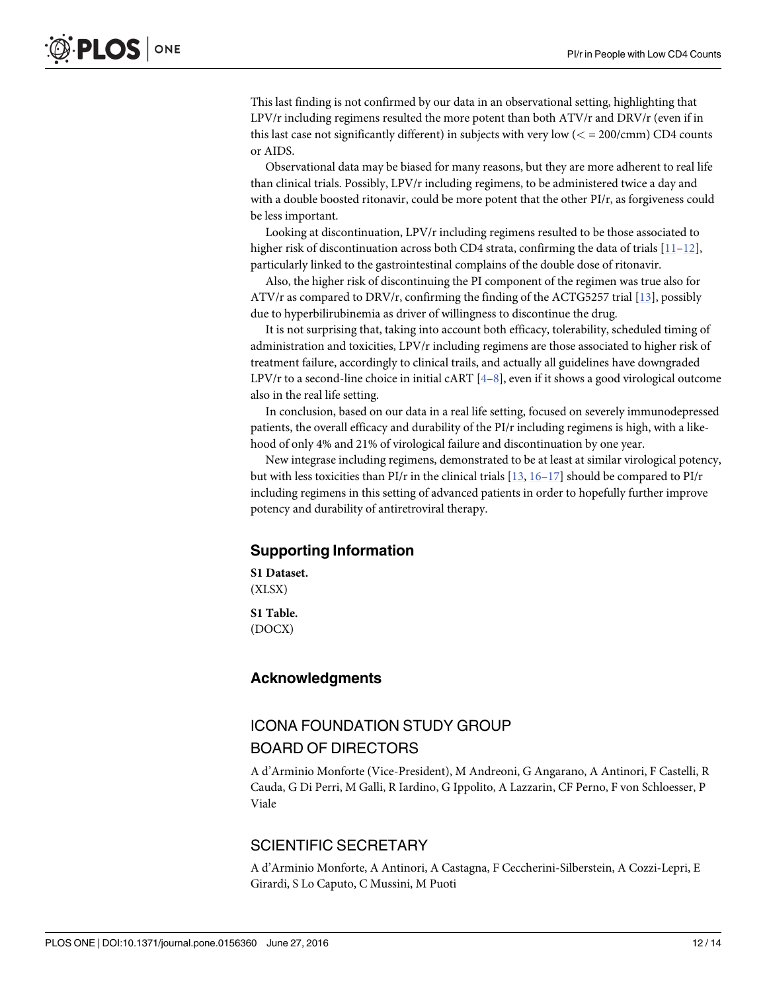<span id="page-11-0"></span>This last finding is not confirmed by our data in an observational setting, highlighting that LPV/r including regimens resulted the more potent than both ATV/r and DRV/r (even if in this last case not significantly different) in subjects with very low ( $\lt$  = 200/cmm) CD4 counts or AIDS.

Observational data may be biased for many reasons, but they are more adherent to real life than clinical trials. Possibly, LPV/r including regimens, to be administered twice a day and with a double boosted ritonavir, could be more potent that the other PI/r, as forgiveness could be less important.

Looking at discontinuation, LPV/r including regimens resulted to be those associated to higher risk of discontinuation across both CD4 strata, confirming the data of trials  $[11-12]$  $[11-12]$  $[11-12]$  $[11-12]$  $[11-12]$ , particularly linked to the gastrointestinal complains of the double dose of ritonavir.

Also, the higher risk of discontinuing the PI component of the regimen was true also for ATV/r as compared to DRV/r, confirming the finding of the ACTG5257 trial [[13](#page-13-0)], possibly due to hyperbilirubinemia as driver of willingness to discontinue the drug.

It is not surprising that, taking into account both efficacy, tolerability, scheduled timing of administration and toxicities, LPV/r including regimens are those associated to higher risk of treatment failure, accordingly to clinical trails, and actually all guidelines have downgraded LPV/r to a second-line choice in initial cART  $[4-8]$  $[4-8]$  $[4-8]$  $[4-8]$ , even if it shows a good virological outcome also in the real life setting.

In conclusion, based on our data in a real life setting, focused on severely immunodepressed patients, the overall efficacy and durability of the PI/r including regimens is high, with a likehood of only 4% and 21% of virological failure and discontinuation by one year.

New integrase including regimens, demonstrated to be at least at similar virological potency, but with less toxicities than PI/r in the clinical trials  $[13, 16-17]$  $[13, 16-17]$  $[13, 16-17]$  $[13, 16-17]$  $[13, 16-17]$  $[13, 16-17]$  should be compared to PI/r including regimens in this setting of advanced patients in order to hopefully further improve potency and durability of antiretroviral therapy.

## Supporting Information

[S1 Dataset.](http://www.plosone.org/article/fetchSingleRepresentation.action?uri=info:doi/10.1371/journal.pone.0156360.s001) (XLSX) [S1 Table](http://www.plosone.org/article/fetchSingleRepresentation.action?uri=info:doi/10.1371/journal.pone.0156360.s002).

(DOCX)

## Acknowledgments

## ICONA FOUNDATION STUDY GROUP BOARD OF DIRECTORS

A d'Arminio Monforte (Vice-President), M Andreoni, G Angarano, A Antinori, F Castelli, R Cauda, G Di Perri, M Galli, R Iardino, G Ippolito, A Lazzarin, CF Perno, F von Schloesser, P Viale

## SCIENTIFIC SECRETARY

A d'Arminio Monforte, A Antinori, A Castagna, F Ceccherini-Silberstein, A Cozzi-Lepri, E Girardi, S Lo Caputo, C Mussini, M Puoti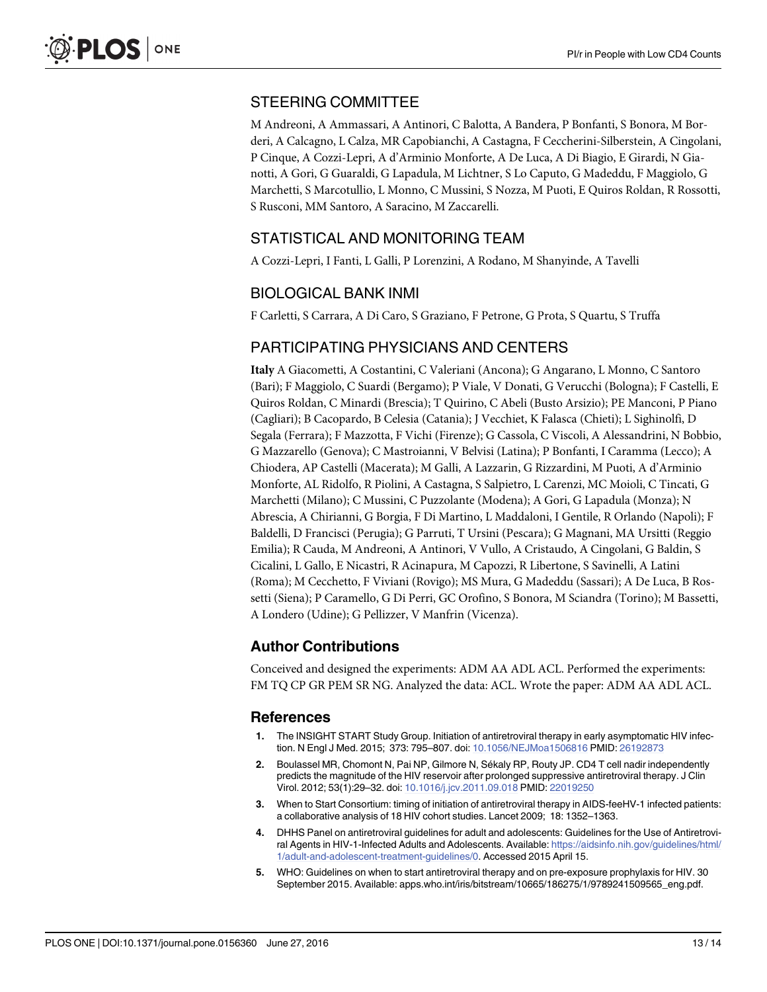## <span id="page-12-0"></span>STEERING COMMITTEE

M Andreoni, A Ammassari, A Antinori, C Balotta, A Bandera, P Bonfanti, S Bonora, M Borderi, A Calcagno, L Calza, MR Capobianchi, A Castagna, F Ceccherini-Silberstein, A Cingolani, P Cinque, A Cozzi-Lepri, A d'Arminio Monforte, A De Luca, A Di Biagio, E Girardi, N Gianotti, A Gori, G Guaraldi, G Lapadula, M Lichtner, S Lo Caputo, G Madeddu, F Maggiolo, G Marchetti, S Marcotullio, L Monno, C Mussini, S Nozza, M Puoti, E Quiros Roldan, R Rossotti, S Rusconi, MM Santoro, A Saracino, M Zaccarelli.

## STATISTICAL AND MONITORING TEAM

A Cozzi-Lepri, I Fanti, L Galli, P Lorenzini, A Rodano, M Shanyinde, A Tavelli

## BIOLOGICAL BANK INMI

F Carletti, S Carrara, A Di Caro, S Graziano, F Petrone, G Prota, S Quartu, S Truffa

## PARTICIPATING PHYSICIANS AND CENTERS

Italy A Giacometti, A Costantini, C Valeriani (Ancona); G Angarano, L Monno, C Santoro (Bari); F Maggiolo, C Suardi (Bergamo); P Viale, V Donati, G Verucchi (Bologna); F Castelli, E Quiros Roldan, C Minardi (Brescia); T Quirino, C Abeli (Busto Arsizio); PE Manconi, P Piano (Cagliari); B Cacopardo, B Celesia (Catania); J Vecchiet, K Falasca (Chieti); L Sighinolfi, D Segala (Ferrara); F Mazzotta, F Vichi (Firenze); G Cassola, C Viscoli, A Alessandrini, N Bobbio, G Mazzarello (Genova); C Mastroianni, V Belvisi (Latina); P Bonfanti, I Caramma (Lecco); A Chiodera, AP Castelli (Macerata); M Galli, A Lazzarin, G Rizzardini, M Puoti, A d'Arminio Monforte, AL Ridolfo, R Piolini, A Castagna, S Salpietro, L Carenzi, MC Moioli, C Tincati, G Marchetti (Milano); C Mussini, C Puzzolante (Modena); A Gori, G Lapadula (Monza); N Abrescia, A Chirianni, G Borgia, F Di Martino, L Maddaloni, I Gentile, R Orlando (Napoli); F Baldelli, D Francisci (Perugia); G Parruti, T Ursini (Pescara); G Magnani, MA Ursitti (Reggio Emilia); R Cauda, M Andreoni, A Antinori, V Vullo, A Cristaudo, A Cingolani, G Baldin, S Cicalini, L Gallo, E Nicastri, R Acinapura, M Capozzi, R Libertone, S Savinelli, A Latini (Roma); M Cecchetto, F Viviani (Rovigo); MS Mura, G Madeddu (Sassari); A De Luca, B Rossetti (Siena); P Caramello, G Di Perri, GC Orofino, S Bonora, M Sciandra (Torino); M Bassetti, A Londero (Udine); G Pellizzer, V Manfrin (Vicenza).

## Author Contributions

Conceived and designed the experiments: ADM AA ADL ACL. Performed the experiments: FM TQ CP GR PEM SR NG. Analyzed the data: ACL. Wrote the paper: ADM AA ADL ACL.

## References

- [1.](#page-1-0) The INSIGHT START Study Group. Initiation of antiretroviral therapy in early asymptomatic HIV infection. N Engl J Med. 2015; 373: 795–807. doi: [10.1056/NEJMoa1506816](http://dx.doi.org/10.1056/NEJMoa1506816) PMID: [26192873](http://www.ncbi.nlm.nih.gov/pubmed/26192873)
- [2.](#page-1-0) Boulassel MR, Chomont N, Pai NP, Gilmore N, Sékaly RP, Routy JP. CD4 T cell nadir independently predicts the magnitude of the HIV reservoir after prolonged suppressive antiretroviral therapy. J Clin Virol. 2012; 53(1):29–32. doi: [10.1016/j.jcv.2011.09.018](http://dx.doi.org/10.1016/j.jcv.2011.09.018) PMID: [22019250](http://www.ncbi.nlm.nih.gov/pubmed/22019250)
- [3.](#page-1-0) When to Start Consortium: timing of initiation of antiretroviral therapy in AIDS-feeHV-1 infected patients: a collaborative analysis of 18 HIV cohort studies. Lancet 2009; 18: 1352–1363.
- [4.](#page-1-0) DHHS Panel on antiretroviral guidelines for adult and adolescents: Guidelines for the Use of Antiretroviral Agents in HIV-1-Infected Adults and Adolescents. Available: [https://aidsinfo.nih.gov/guidelines/html/](https://aidsinfo.nih.gov/guidelines/html/1/adult-and-adolescent-treatment-guidelines/0) [1/adult-and-adolescent-treatment-guidelines/0.](https://aidsinfo.nih.gov/guidelines/html/1/adult-and-adolescent-treatment-guidelines/0) Accessed 2015 April 15.
- 5. WHO: Guidelines on when to start antiretroviral therapy and on pre-exposure prophylaxis for HIV. 30 September 2015. Available: apps.who.int/iris/bitstream/10665/186275/1/9789241509565\_eng.pdf.